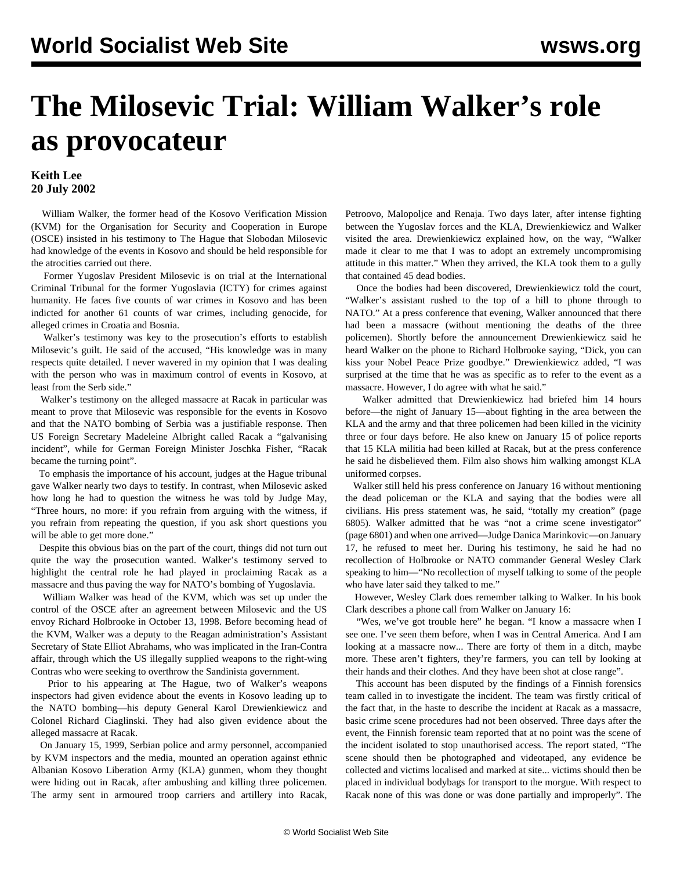## **The Milosevic Trial: William Walker's role as provocateur**

## **Keith Lee 20 July 2002**

 William Walker, the former head of the Kosovo Verification Mission (KVM) for the Organisation for Security and Cooperation in Europe (OSCE) insisted in his testimony to The Hague that Slobodan Milosevic had knowledge of the events in Kosovo and should be held responsible for the atrocities carried out there.

 Former Yugoslav President Milosevic is on trial at the International Criminal Tribunal for the former Yugoslavia (ICTY) for crimes against humanity. He faces five counts of war crimes in Kosovo and has been indicted for another 61 counts of war crimes, including genocide, for alleged crimes in Croatia and Bosnia.

 Walker's testimony was key to the prosecution's efforts to establish Milosevic's guilt. He said of the accused, "His knowledge was in many respects quite detailed. I never wavered in my opinion that I was dealing with the person who was in maximum control of events in Kosovo, at least from the Serb side."

 Walker's testimony on the alleged massacre at Racak in particular was meant to prove that Milosevic was responsible for the events in Kosovo and that the NATO bombing of Serbia was a justifiable response. Then US Foreign Secretary Madeleine Albright called Racak a "galvanising incident", while for German Foreign Minister Joschka Fisher, "Racak became the turning point".

 To emphasis the importance of his account, judges at the Hague tribunal gave Walker nearly two days to testify. In contrast, when Milosevic asked how long he had to question the witness he was told by Judge May, "Three hours, no more: if you refrain from arguing with the witness, if you refrain from repeating the question, if you ask short questions you will be able to get more done."

 Despite this obvious bias on the part of the court, things did not turn out quite the way the prosecution wanted. Walker's testimony served to highlight the central role he had played in proclaiming Racak as a massacre and thus paving the way for NATO's bombing of Yugoslavia.

 William Walker was head of the KVM, which was set up under the control of the OSCE after an agreement between Milosevic and the US envoy Richard Holbrooke in October 13, 1998. Before becoming head of the KVM, Walker was a deputy to the Reagan administration's Assistant Secretary of State Elliot Abrahams, who was implicated in the Iran-Contra affair, through which the US illegally supplied weapons to the right-wing Contras who were seeking to overthrow the Sandinista government.

 Prior to his appearing at The Hague, two of Walker's weapons inspectors had given evidence about the events in Kosovo leading up to the NATO bombing—his deputy General Karol Drewienkiewicz and Colonel Richard Ciaglinski. They had also given evidence about the alleged massacre at Racak.

 On January 15, 1999, Serbian police and army personnel, accompanied by KVM inspectors and the media, mounted an operation against ethnic Albanian Kosovo Liberation Army (KLA) gunmen, whom they thought were hiding out in Racak, after ambushing and killing three policemen. The army sent in armoured troop carriers and artillery into Racak,

Petroovo, Malopoljce and Renaja. Two days later, after intense fighting between the Yugoslav forces and the KLA, Drewienkiewicz and Walker visited the area. Drewienkiewicz explained how, on the way, "Walker made it clear to me that I was to adopt an extremely uncompromising attitude in this matter." When they arrived, the KLA took them to a gully that contained 45 dead bodies.

 Once the bodies had been discovered, Drewienkiewicz told the court, "Walker's assistant rushed to the top of a hill to phone through to NATO." At a press conference that evening, Walker announced that there had been a massacre (without mentioning the deaths of the three policemen). Shortly before the announcement Drewienkiewicz said he heard Walker on the phone to Richard Holbrooke saying, "Dick, you can kiss your Nobel Peace Prize goodbye." Drewienkiewicz added, "I was surprised at the time that he was as specific as to refer to the event as a massacre. However, I do agree with what he said."

 Walker admitted that Drewienkiewicz had briefed him 14 hours before—the night of January 15—about fighting in the area between the KLA and the army and that three policemen had been killed in the vicinity three or four days before. He also knew on January 15 of police reports that 15 KLA militia had been killed at Racak, but at the press conference he said he disbelieved them. Film also shows him walking amongst KLA uniformed corpses.

 Walker still held his press conference on January 16 without mentioning the dead policeman or the KLA and saying that the bodies were all civilians. His press statement was, he said, "totally my creation" (page 6805). Walker admitted that he was "not a crime scene investigator" (page 6801) and when one arrived—Judge Danica Marinkovic—on January 17, he refused to meet her. During his testimony, he said he had no recollection of Holbrooke or NATO commander General Wesley Clark speaking to him—"No recollection of myself talking to some of the people who have later said they talked to me."

 However, Wesley Clark does remember talking to Walker. In his book Clark describes a phone call from Walker on January 16:

 "Wes, we've got trouble here" he began. "I know a massacre when I see one. I've seen them before, when I was in Central America. And I am looking at a massacre now... There are forty of them in a ditch, maybe more. These aren't fighters, they're farmers, you can tell by looking at their hands and their clothes. And they have been shot at close range".

 This account has been disputed by the findings of a Finnish forensics team called in to investigate the incident. The team was firstly critical of the fact that, in the haste to describe the incident at Racak as a massacre, basic crime scene procedures had not been observed. Three days after the event, the Finnish forensic team reported that at no point was the scene of the incident isolated to stop unauthorised access. The report stated, "The scene should then be photographed and videotaped, any evidence be collected and victims localised and marked at site... victims should then be placed in individual bodybags for transport to the morgue. With respect to Racak none of this was done or was done partially and improperly". The